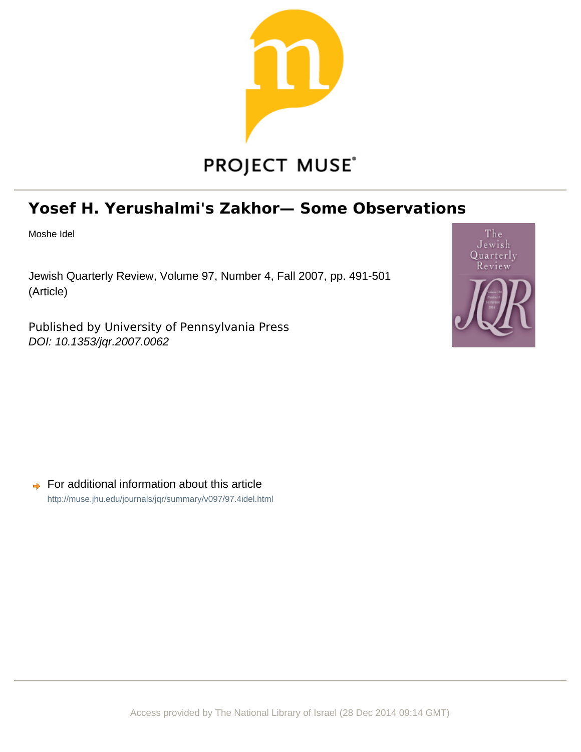

## **Yosef H. Yerushalmi's Zakhor— Some Observations**

Moshe Idel

Jewish Quarterly Review, Volume 97, Number 4, Fall 2007, pp. 491-501 (Article)

Published by University of Pennsylvania Press DOI: 10.1353/jqr.2007.0062



For additional information about this article  $\Rightarrow$ <http://muse.jhu.edu/journals/jqr/summary/v097/97.4idel.html>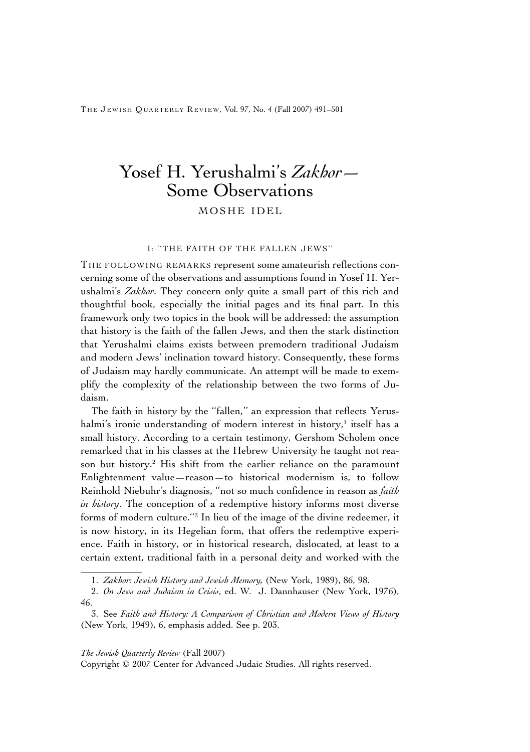THE JEWISH QUARTERLY REVIEW, Vol. 97, No. 4 (Fall 2007) 491-501

# Yosef H. Yerushalmi's *Zakhor—* Some Observations

### MOSHE IDEL

#### I: ''THE FAITH OF THE FALLEN JEWS''

THE FOLLOWING REMARKS represent some amateurish reflections concerning some of the observations and assumptions found in Yosef H. Yerushalmi's *Zakhor*. They concern only quite a small part of this rich and thoughtful book, especially the initial pages and its final part. In this framework only two topics in the book will be addressed: the assumption that history is the faith of the fallen Jews, and then the stark distinction that Yerushalmi claims exists between premodern traditional Judaism and modern Jews' inclination toward history. Consequently, these forms of Judaism may hardly communicate. An attempt will be made to exemplify the complexity of the relationship between the two forms of Judaism.

The faith in history by the ''fallen,'' an expression that reflects Yerushalmi's ironic understanding of modern interest in history,<sup>1</sup> itself has a small history. According to a certain testimony, Gershom Scholem once remarked that in his classes at the Hebrew University he taught not reason but history.<sup>2</sup> His shift from the earlier reliance on the paramount Enlightenment value—reason—to historical modernism is, to follow Reinhold Niebuhr's diagnosis, ''not so much confidence in reason as *faith in history*. The conception of a redemptive history informs most diverse forms of modern culture.''3 In lieu of the image of the divine redeemer, it is now history, in its Hegelian form, that offers the redemptive experience. Faith in history, or in historical research, dislocated, at least to a certain extent, traditional faith in a personal deity and worked with the

*The Jewish Quarterly Review* (Fall 2007)

Copyright © 2007 Center for Advanced Judaic Studies. All rights reserved.

<sup>1.</sup> *Zakhor: Jewish History and Jewish Memory,* (New York, 1989), 86, 98.

<sup>2.</sup> *On Jews and Judaism in Crisis*, ed. W. J. Dannhauser (New York, 1976), 46.

<sup>3.</sup> See *Faith and History: A Comparison of Christian and Modern Views of History* (New York, 1949), 6, emphasis added. See p. 203.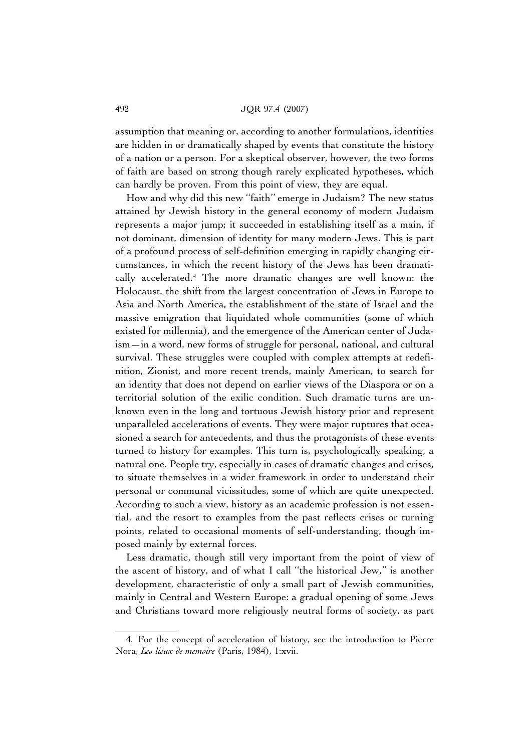assumption that meaning or, according to another formulations, identities are hidden in or dramatically shaped by events that constitute the history of a nation or a person. For a skeptical observer, however, the two forms of faith are based on strong though rarely explicated hypotheses, which can hardly be proven. From this point of view, they are equal.

How and why did this new ''faith'' emerge in Judaism? The new status attained by Jewish history in the general economy of modern Judaism represents a major jump; it succeeded in establishing itself as a main, if not dominant, dimension of identity for many modern Jews. This is part of a profound process of self-definition emerging in rapidly changing circumstances, in which the recent history of the Jews has been dramatically accelerated.4 The more dramatic changes are well known: the Holocaust, the shift from the largest concentration of Jews in Europe to Asia and North America, the establishment of the state of Israel and the massive emigration that liquidated whole communities (some of which existed for millennia), and the emergence of the American center of Judaism—in a word, new forms of struggle for personal, national, and cultural survival. These struggles were coupled with complex attempts at redefinition, Zionist, and more recent trends, mainly American, to search for an identity that does not depend on earlier views of the Diaspora or on a territorial solution of the exilic condition. Such dramatic turns are unknown even in the long and tortuous Jewish history prior and represent unparalleled accelerations of events. They were major ruptures that occasioned a search for antecedents, and thus the protagonists of these events turned to history for examples. This turn is, psychologically speaking, a natural one. People try, especially in cases of dramatic changes and crises, to situate themselves in a wider framework in order to understand their personal or communal vicissitudes, some of which are quite unexpected. According to such a view, history as an academic profession is not essential, and the resort to examples from the past reflects crises or turning points, related to occasional moments of self-understanding, though imposed mainly by external forces.

Less dramatic, though still very important from the point of view of the ascent of history, and of what I call ''the historical Jew,'' is another development, characteristic of only a small part of Jewish communities, mainly in Central and Western Europe: a gradual opening of some Jews and Christians toward more religiously neutral forms of society, as part

<sup>4.</sup> For the concept of acceleration of history, see the introduction to Pierre Nora, *Les lieux de memoire* (Paris, 1984), 1:xvii.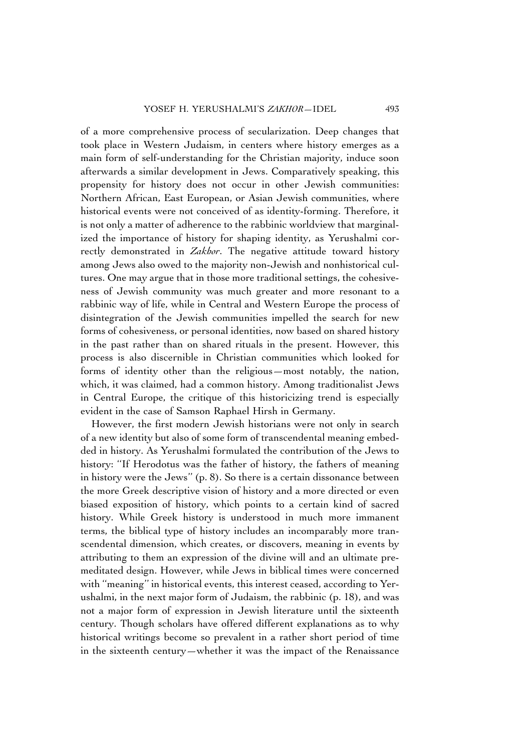of a more comprehensive process of secularization. Deep changes that took place in Western Judaism, in centers where history emerges as a main form of self-understanding for the Christian majority, induce soon afterwards a similar development in Jews. Comparatively speaking, this propensity for history does not occur in other Jewish communities: Northern African, East European, or Asian Jewish communities, where historical events were not conceived of as identity-forming. Therefore, it is not only a matter of adherence to the rabbinic worldview that marginalized the importance of history for shaping identity, as Yerushalmi correctly demonstrated in *Zakhor*. The negative attitude toward history among Jews also owed to the majority non-Jewish and nonhistorical cultures. One may argue that in those more traditional settings, the cohesiveness of Jewish community was much greater and more resonant to a rabbinic way of life, while in Central and Western Europe the process of disintegration of the Jewish communities impelled the search for new forms of cohesiveness, or personal identities, now based on shared history in the past rather than on shared rituals in the present. However, this process is also discernible in Christian communities which looked for forms of identity other than the religious—most notably, the nation, which, it was claimed, had a common history. Among traditionalist Jews in Central Europe, the critique of this historicizing trend is especially evident in the case of Samson Raphael Hirsh in Germany.

However, the first modern Jewish historians were not only in search of a new identity but also of some form of transcendental meaning embedded in history. As Yerushalmi formulated the contribution of the Jews to history: ''If Herodotus was the father of history, the fathers of meaning in history were the Jews'' (p. 8). So there is a certain dissonance between the more Greek descriptive vision of history and a more directed or even biased exposition of history, which points to a certain kind of sacred history. While Greek history is understood in much more immanent terms, the biblical type of history includes an incomparably more transcendental dimension, which creates, or discovers, meaning in events by attributing to them an expression of the divine will and an ultimate premeditated design. However, while Jews in biblical times were concerned with "meaning" in historical events, this interest ceased, according to Yerushalmi, in the next major form of Judaism, the rabbinic (p. 18), and was not a major form of expression in Jewish literature until the sixteenth century. Though scholars have offered different explanations as to why historical writings become so prevalent in a rather short period of time in the sixteenth century—whether it was the impact of the Renaissance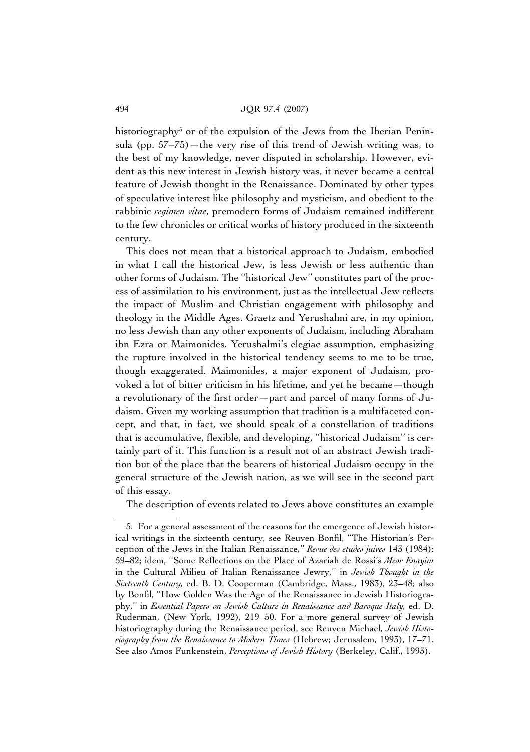historiography<sup>5</sup> or of the expulsion of the Jews from the Iberian Peninsula (pp. 57–75)—the very rise of this trend of Jewish writing was, to the best of my knowledge, never disputed in scholarship. However, evident as this new interest in Jewish history was, it never became a central feature of Jewish thought in the Renaissance. Dominated by other types of speculative interest like philosophy and mysticism, and obedient to the rabbinic *regimen vitae*, premodern forms of Judaism remained indifferent to the few chronicles or critical works of history produced in the sixteenth century.

This does not mean that a historical approach to Judaism, embodied in what I call the historical Jew, is less Jewish or less authentic than other forms of Judaism. The ''historical Jew'' constitutes part of the process of assimilation to his environment, just as the intellectual Jew reflects the impact of Muslim and Christian engagement with philosophy and theology in the Middle Ages. Graetz and Yerushalmi are, in my opinion, no less Jewish than any other exponents of Judaism, including Abraham ibn Ezra or Maimonides. Yerushalmi's elegiac assumption, emphasizing the rupture involved in the historical tendency seems to me to be true, though exaggerated. Maimonides, a major exponent of Judaism, provoked a lot of bitter criticism in his lifetime, and yet he became—though a revolutionary of the first order—part and parcel of many forms of Judaism. Given my working assumption that tradition is a multifaceted concept, and that, in fact, we should speak of a constellation of traditions that is accumulative, flexible, and developing, ''historical Judaism'' is certainly part of it. This function is a result not of an abstract Jewish tradition but of the place that the bearers of historical Judaism occupy in the general structure of the Jewish nation, as we will see in the second part of this essay.

The description of events related to Jews above constitutes an example

<sup>5.</sup> For a general assessment of the reasons for the emergence of Jewish historical writings in the sixteenth century, see Reuven Bonfil, ''The Historian's Perception of the Jews in the Italian Renaissance,'' *Revue des etudes juives* 143 (1984): 59–82; idem, ''Some Reflections on the Place of Azariah de Rossi's *Meor Enayim* in the Cultural Milieu of Italian Renaissance Jewry,'' in *Jewish Thought in the Sixteenth Century,* ed. B. D. Cooperman (Cambridge, Mass., 1983), 23–48; also by Bonfil, ''How Golden Was the Age of the Renaissance in Jewish Historiography,'' in *Essential Papers on Jewish Culture in Renaissance and Baroque Italy,* ed. D. Ruderman, (New York, 1992), 219–50. For a more general survey of Jewish historiography during the Renaissance period, see Reuven Michael, *Jewish Historiography from the Renaissance to Modern Times* (Hebrew; Jerusalem, 1993), 17–71. See also Amos Funkenstein, *Perceptions of Jewish History* (Berkeley, Calif., 1993).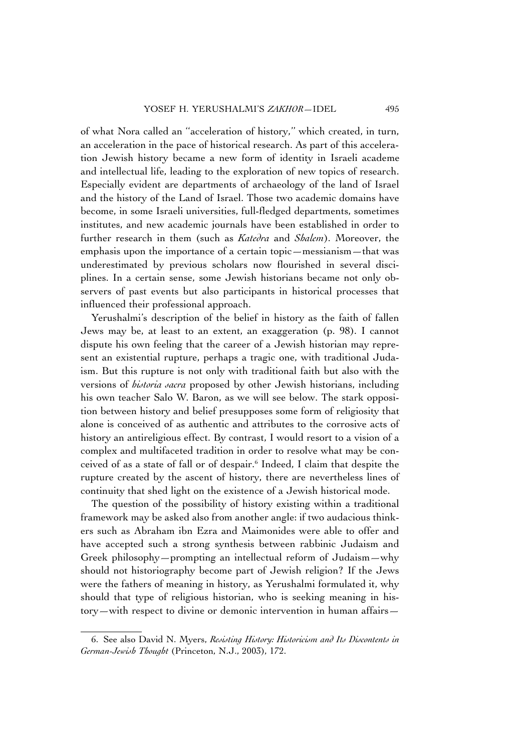of what Nora called an ''acceleration of history,'' which created, in turn, an acceleration in the pace of historical research. As part of this acceleration Jewish history became a new form of identity in Israeli academe and intellectual life, leading to the exploration of new topics of research. Especially evident are departments of archaeology of the land of Israel and the history of the Land of Israel. Those two academic domains have become, in some Israeli universities, full-fledged departments, sometimes institutes, and new academic journals have been established in order to further research in them (such as *Katedra* and *Shalem*). Moreover, the emphasis upon the importance of a certain topic—messianism—that was underestimated by previous scholars now flourished in several disciplines. In a certain sense, some Jewish historians became not only observers of past events but also participants in historical processes that influenced their professional approach.

Yerushalmi's description of the belief in history as the faith of fallen Jews may be, at least to an extent, an exaggeration (p. 98). I cannot dispute his own feeling that the career of a Jewish historian may represent an existential rupture, perhaps a tragic one, with traditional Judaism. But this rupture is not only with traditional faith but also with the versions of *historia sacra* proposed by other Jewish historians, including his own teacher Salo W. Baron, as we will see below. The stark opposition between history and belief presupposes some form of religiosity that alone is conceived of as authentic and attributes to the corrosive acts of history an antireligious effect. By contrast, I would resort to a vision of a complex and multifaceted tradition in order to resolve what may be conceived of as a state of fall or of despair.6 Indeed, I claim that despite the rupture created by the ascent of history, there are nevertheless lines of continuity that shed light on the existence of a Jewish historical mode.

The question of the possibility of history existing within a traditional framework may be asked also from another angle: if two audacious thinkers such as Abraham ibn Ezra and Maimonides were able to offer and have accepted such a strong synthesis between rabbinic Judaism and Greek philosophy—prompting an intellectual reform of Judaism—why should not historiography become part of Jewish religion? If the Jews were the fathers of meaning in history, as Yerushalmi formulated it, why should that type of religious historian, who is seeking meaning in history—with respect to divine or demonic intervention in human affairs—

<sup>6.</sup> See also David N. Myers, *Resisting History: Historicism and Its Discontents in German-Jewish Thought* (Princeton, N.J., 2003), 172.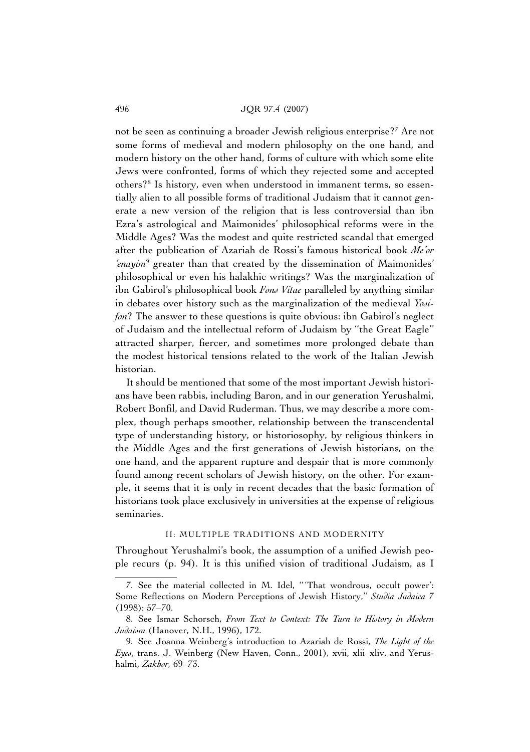not be seen as continuing a broader Jewish religious enterprise?7 Are not some forms of medieval and modern philosophy on the one hand, and modern history on the other hand, forms of culture with which some elite Jews were confronted, forms of which they rejected some and accepted others?8 Is history, even when understood in immanent terms, so essentially alien to all possible forms of traditional Judaism that it cannot generate a new version of the religion that is less controversial than ibn Ezra's astrological and Maimonides' philosophical reforms were in the Middle Ages? Was the modest and quite restricted scandal that emerged after the publication of Azariah de Rossi's famous historical book *Me'or 'enayim*<sup>9</sup> greater than that created by the dissemination of Maimonides' philosophical or even his halakhic writings? Was the marginalization of ibn Gabirol's philosophical book *Fons Vitae* paralleled by anything similar in debates over history such as the marginalization of the medieval *Yosifon*? The answer to these questions is quite obvious: ibn Gabirol's neglect of Judaism and the intellectual reform of Judaism by ''the Great Eagle'' attracted sharper, fiercer, and sometimes more prolonged debate than the modest historical tensions related to the work of the Italian Jewish historian.

It should be mentioned that some of the most important Jewish historians have been rabbis, including Baron, and in our generation Yerushalmi, Robert Bonfil, and David Ruderman. Thus, we may describe a more complex, though perhaps smoother, relationship between the transcendental type of understanding history, or historiosophy, by religious thinkers in the Middle Ages and the first generations of Jewish historians, on the one hand, and the apparent rupture and despair that is more commonly found among recent scholars of Jewish history, on the other. For example, it seems that it is only in recent decades that the basic formation of historians took place exclusively in universities at the expense of religious seminaries.

#### II: MULTIPLE TRADITIONS AND MODERNITY

Throughout Yerushalmi's book, the assumption of a unified Jewish people recurs (p. 94). It is this unified vision of traditional Judaism, as I

<sup>7.</sup> See the material collected in M. Idel, '' 'That wondrous, occult power': Some Reflections on Modern Perceptions of Jewish History,'' *Studia Judaica* 7 (1998): 57–70.

<sup>8.</sup> See Ismar Schorsch, *From Text to Context: The Turn to History in Modern Judaism* (Hanover, N.H., 1996), 172.

<sup>9.</sup> See Joanna Weinberg's introduction to Azariah de Rossi, *The Light of the Eyes*, trans. J. Weinberg (New Haven, Conn., 2001), xvii, xlii–xliv, and Yerushalmi, *Zakhor,* 69–73.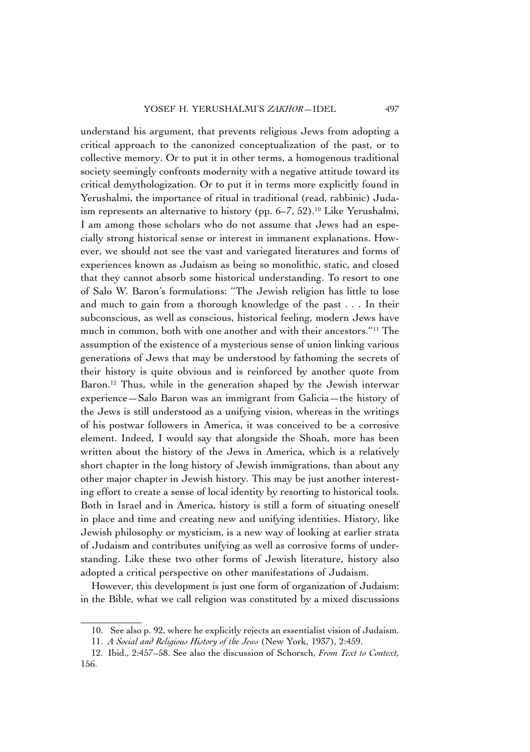understand his argument, that prevents religious Jews from adopting a critical approach to the canonized conceptualization of the past, or to collective memory. Or to put it in other terms, a homogenous traditional society seemingly confronts modernity with a negative attitude toward its critical demythologization. Or to put it in terms more explicitly found in Yerushalmi, the importance of ritual in traditional (read, rabbinic) Judaism represents an alternative to history (pp. 6–7, 52).<sup>10</sup> Like Yerushalmi, I am among those scholars who do not assume that Jews had an especially strong historical sense or interest in immanent explanations. However, we should not see the vast and variegated literatures and forms of experiences known as Judaism as being so monolithic, static, and closed that they cannot absorb some historical understanding. To resort to one of Salo W. Baron's formulations: ''The Jewish religion has little to lose and much to gain from a thorough knowledge of the past . . . In their subconscious, as well as conscious, historical feeling, modern Jews have much in common, both with one another and with their ancestors.''11 The assumption of the existence of a mysterious sense of union linking various generations of Jews that may be understood by fathoming the secrets of their history is quite obvious and is reinforced by another quote from Baron.<sup>12</sup> Thus, while in the generation shaped by the Jewish interwar experience—Salo Baron was an immigrant from Galicia—the history of the Jews is still understood as a unifying vision, whereas in the writings of his postwar followers in America, it was conceived to be a corrosive element. Indeed, I would say that alongside the Shoah, more has been written about the history of the Jews in America, which is a relatively short chapter in the long history of Jewish immigrations, than about any other major chapter in Jewish history. This may be just another interesting effort to create a sense of local identity by resorting to historical tools. Both in Israel and in America, history is still a form of situating oneself in place and time and creating new and unifying identities. History, like Jewish philosophy or mysticism, is a new way of looking at earlier strata of Judaism and contributes unifying as well as corrosive forms of understanding. Like these two other forms of Jewish literature, history also adopted a critical perspective on other manifestations of Judaism.

However, this development is just one form of organization of Judaism: in the Bible, what we call religion was constituted by a mixed discussions

<sup>10.</sup> See also p. 92, where he explicitly rejects an essentialist vision of Judaism.

<sup>11.</sup> *A Social and Religious History of the Jews* (New York, 1937), 2:459.

<sup>12.</sup> Ibid., 2:457–58. See also the discussion of Schorsch, *From Text to Context,* 156.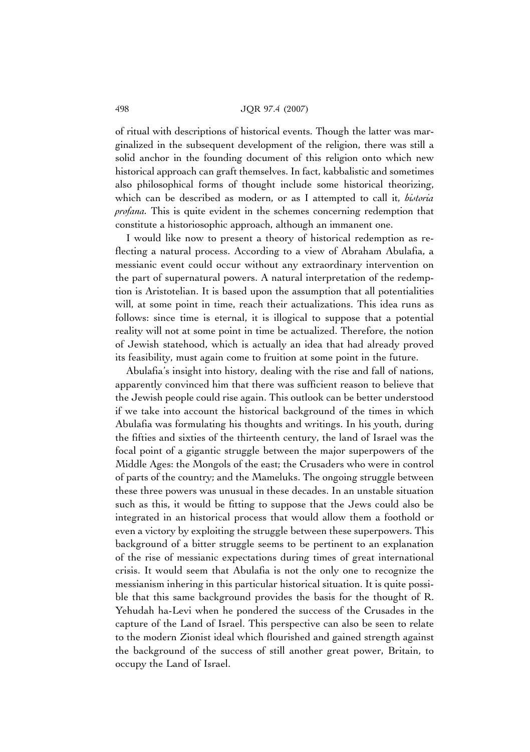of ritual with descriptions of historical events. Though the latter was marginalized in the subsequent development of the religion, there was still a solid anchor in the founding document of this religion onto which new historical approach can graft themselves. In fact, kabbalistic and sometimes also philosophical forms of thought include some historical theorizing, which can be described as modern, or as I attempted to call it, *historia profana.* This is quite evident in the schemes concerning redemption that constitute a historiosophic approach, although an immanent one.

I would like now to present a theory of historical redemption as reflecting a natural process. According to a view of Abraham Abulafia, a messianic event could occur without any extraordinary intervention on the part of supernatural powers. A natural interpretation of the redemption is Aristotelian. It is based upon the assumption that all potentialities will, at some point in time, reach their actualizations. This idea runs as follows: since time is eternal, it is illogical to suppose that a potential reality will not at some point in time be actualized. Therefore, the notion of Jewish statehood, which is actually an idea that had already proved its feasibility, must again come to fruition at some point in the future.

Abulafia's insight into history, dealing with the rise and fall of nations, apparently convinced him that there was sufficient reason to believe that the Jewish people could rise again. This outlook can be better understood if we take into account the historical background of the times in which Abulafia was formulating his thoughts and writings. In his youth, during the fifties and sixties of the thirteenth century, the land of Israel was the focal point of a gigantic struggle between the major superpowers of the Middle Ages: the Mongols of the east; the Crusaders who were in control of parts of the country; and the Mameluks. The ongoing struggle between these three powers was unusual in these decades. In an unstable situation such as this, it would be fitting to suppose that the Jews could also be integrated in an historical process that would allow them a foothold or even a victory by exploiting the struggle between these superpowers. This background of a bitter struggle seems to be pertinent to an explanation of the rise of messianic expectations during times of great international crisis. It would seem that Abulafia is not the only one to recognize the messianism inhering in this particular historical situation. It is quite possible that this same background provides the basis for the thought of R. Yehudah ha-Levi when he pondered the success of the Crusades in the capture of the Land of Israel. This perspective can also be seen to relate to the modern Zionist ideal which flourished and gained strength against the background of the success of still another great power, Britain, to occupy the Land of Israel.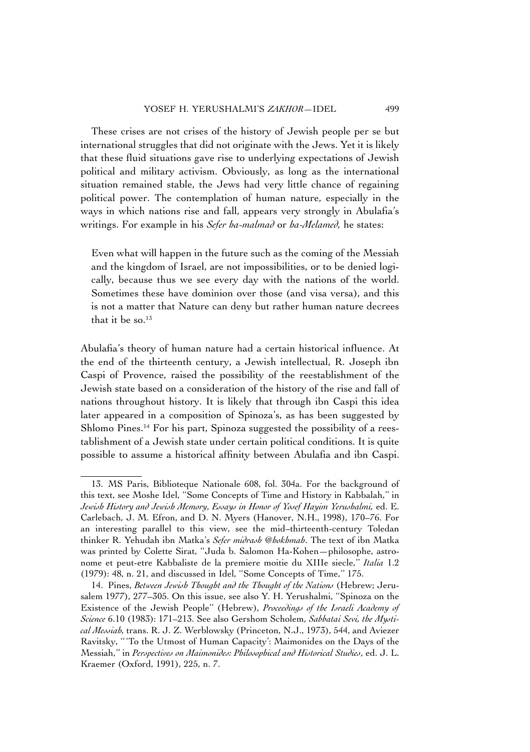These crises are not crises of the history of Jewish people per se but international struggles that did not originate with the Jews. Yet it is likely that these fluid situations gave rise to underlying expectations of Jewish political and military activism. Obviously, as long as the international situation remained stable, the Jews had very little chance of regaining political power. The contemplation of human nature, especially in the ways in which nations rise and fall, appears very strongly in Abulafia's writings. For example in his *Sefer ha-malmad* or *ha-Melamed,* he states:

Even what will happen in the future such as the coming of the Messiah and the kingdom of Israel, are not impossibilities, or to be denied logically, because thus we see every day with the nations of the world. Sometimes these have dominion over those (and visa versa), and this is not a matter that Nature can deny but rather human nature decrees that it be so.<sup>13</sup>

Abulafia's theory of human nature had a certain historical influence. At the end of the thirteenth century, a Jewish intellectual, R. Joseph ibn Caspi of Provence, raised the possibility of the reestablishment of the Jewish state based on a consideration of the history of the rise and fall of nations throughout history. It is likely that through ibn Caspi this idea later appeared in a composition of Spinoza's, as has been suggested by Shlomo Pines.<sup>14</sup> For his part, Spinoza suggested the possibility of a reestablishment of a Jewish state under certain political conditions. It is quite possible to assume a historical affinity between Abulafia and ibn Caspi.

<sup>13.</sup> MS Paris, Biblioteque Nationale 608, fol. 304a. For the background of this text, see Moshe Idel, ''Some Concepts of Time and History in Kabbalah,'' in *Jewish History and Jewish Memory*, *Essays in Honor of Yosef Hayim Yerushalmi,* ed. E. Carlebach, J. M. Efron, and D. N. Myers (Hanover, N.H., 1998), 170–76. For an interesting parallel to this view, see the mid–thirteenth-century Toledan thinker R. Yehudah ibn Matka's *Sefer midrash* @*hokhmah*. The text of ibn Matka was printed by Colette Sirat, ''Juda b. Salomon Ha-Kohen—philosophe, astronome et peut-etre Kabbaliste de la premiere moitie du XIIIe siecle,'' *Italia* 1.2 (1979): 48, n. 21, and discussed in Idel, ''Some Concepts of Time,'' 175.

<sup>14.</sup> Pines, *Between Jewish Thought and the Thought of the Nations* (Hebrew; Jerusalem 1977), 277–305. On this issue, see also Y. H. Yerushalmi, ''Spinoza on the Existence of the Jewish People'' (Hebrew), *Proceedings of the Israeli Academy of Science* 6.10 (1983): 171–213. See also Gershom Scholem, *Sabbatai Sevi, the Mystical Messiah,* trans. R. J. Z. Werblowsky (Princeton, N.J., 1973), 544, and Aviezer Ravitsky, '' 'To the Utmost of Human Capacity': Maimonides on the Days of the Messiah,'' in *Perspectives on Maimonides: Philosophical and Historical Studies*, ed. J. L. Kraemer (Oxford, 1991), 225, n. 7.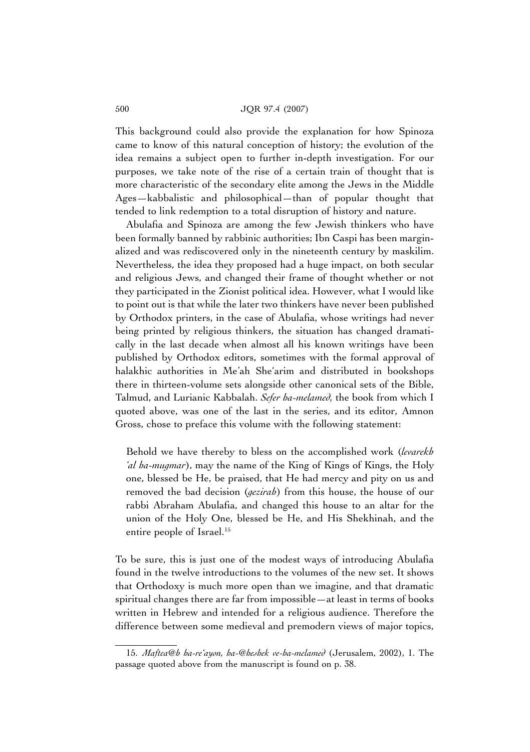This background could also provide the explanation for how Spinoza came to know of this natural conception of history; the evolution of the idea remains a subject open to further in-depth investigation. For our purposes, we take note of the rise of a certain train of thought that is more characteristic of the secondary elite among the Jews in the Middle Ages—kabbalistic and philosophical—than of popular thought that tended to link redemption to a total disruption of history and nature.

Abulafia and Spinoza are among the few Jewish thinkers who have been formally banned by rabbinic authorities; Ibn Caspi has been marginalized and was rediscovered only in the nineteenth century by maskilim. Nevertheless, the idea they proposed had a huge impact, on both secular and religious Jews, and changed their frame of thought whether or not they participated in the Zionist political idea. However, what I would like to point out is that while the later two thinkers have never been published by Orthodox printers, in the case of Abulafia, whose writings had never being printed by religious thinkers, the situation has changed dramatically in the last decade when almost all his known writings have been published by Orthodox editors, sometimes with the formal approval of halakhic authorities in Me'ah She'arim and distributed in bookshops there in thirteen-volume sets alongside other canonical sets of the Bible, Talmud, and Lurianic Kabbalah. *Sefer ha-melamed,* the book from which I quoted above, was one of the last in the series, and its editor, Amnon Gross, chose to preface this volume with the following statement:

Behold we have thereby to bless on the accomplished work (*levarekh 'al ha-mugmar*), may the name of the King of Kings of Kings, the Holy one, blessed be He, be praised, that He had mercy and pity on us and removed the bad decision (*gezirah*) from this house, the house of our rabbi Abraham Abulafia, and changed this house to an altar for the union of the Holy One, blessed be He, and His Shekhinah, and the entire people of Israel.<sup>15</sup>

To be sure, this is just one of the modest ways of introducing Abulafia found in the twelve introductions to the volumes of the new set. It shows that Orthodoxy is much more open than we imagine, and that dramatic spiritual changes there are far from impossible—at least in terms of books written in Hebrew and intended for a religious audience. Therefore the difference between some medieval and premodern views of major topics,

<sup>15.</sup> *Maftea*@*h ha-re'ayon, ha-*@*heshek ve-ha-melamed* (Jerusalem, 2002), 1. The passage quoted above from the manuscript is found on p. 38.